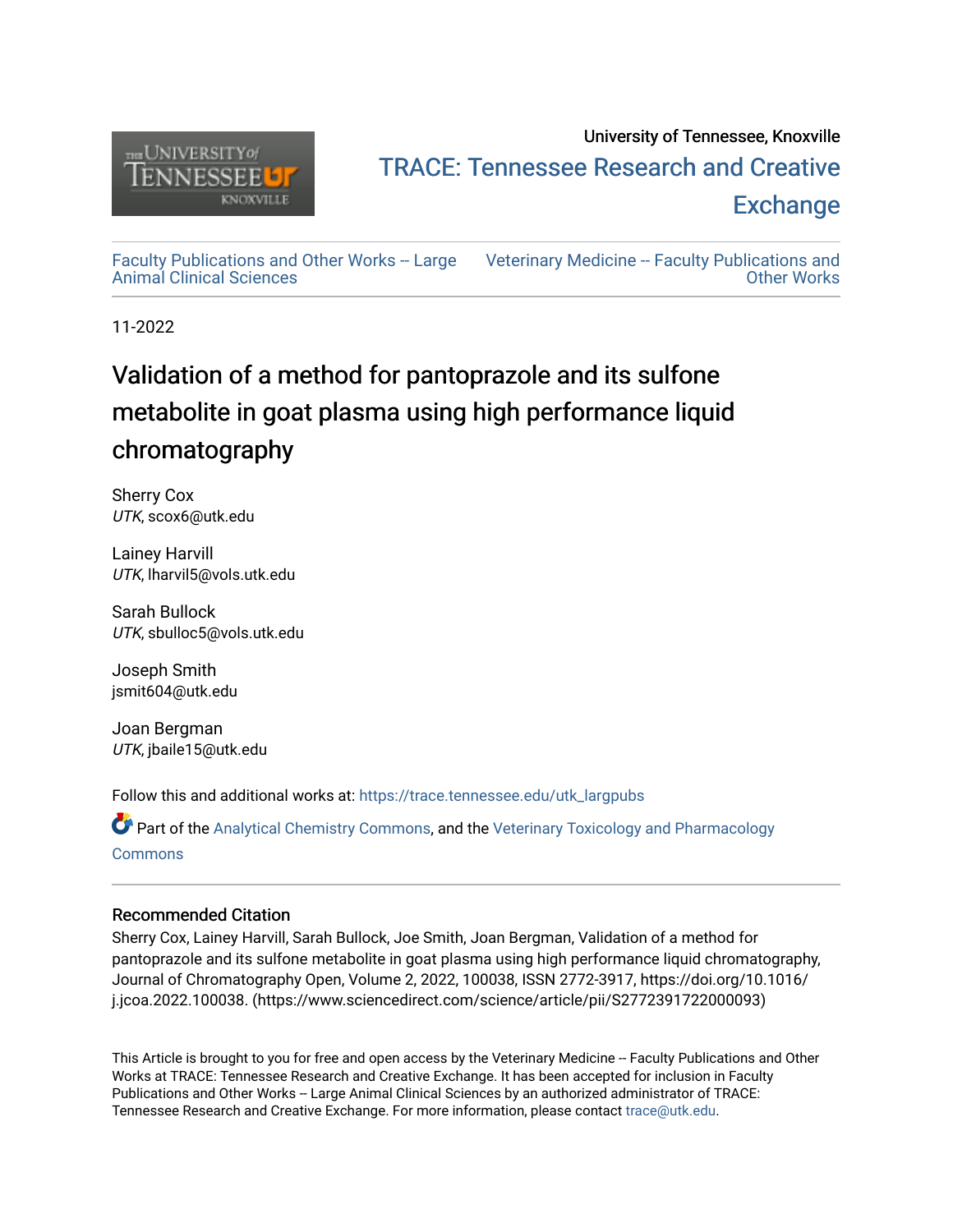

# University of Tennessee, Knoxville TRACE: T[ennessee Research and Cr](https://trace.tennessee.edu/)eative **Exchange**

[Faculty Publications and Other Works -- Large](https://trace.tennessee.edu/utk_largpubs) [Animal Clinical Sciences](https://trace.tennessee.edu/utk_largpubs)

[Veterinary Medicine -- Faculty Publications and](https://trace.tennessee.edu/vetfacpubs)  [Other Works](https://trace.tennessee.edu/vetfacpubs) 

11-2022

# Validation of a method for pantoprazole and its sulfone metabolite in goat plasma using high performance liquid chromatography

Sherry Cox UTK, scox6@utk.edu

Lainey Harvill UTK, lharvil5@vols.utk.edu

Sarah Bullock UTK, sbulloc5@vols.utk.edu

Joseph Smith jsmit604@utk.edu

Joan Bergman UTK, jbaile15@utk.edu

Follow this and additional works at: [https://trace.tennessee.edu/utk\\_largpubs](https://trace.tennessee.edu/utk_largpubs?utm_source=trace.tennessee.edu%2Futk_largpubs%2F55&utm_medium=PDF&utm_campaign=PDFCoverPages)

Part of the [Analytical Chemistry Commons,](http://network.bepress.com/hgg/discipline/132?utm_source=trace.tennessee.edu%2Futk_largpubs%2F55&utm_medium=PDF&utm_campaign=PDFCoverPages) and the [Veterinary Toxicology and Pharmacology](http://network.bepress.com/hgg/discipline/765?utm_source=trace.tennessee.edu%2Futk_largpubs%2F55&utm_medium=PDF&utm_campaign=PDFCoverPages)  **[Commons](http://network.bepress.com/hgg/discipline/765?utm_source=trace.tennessee.edu%2Futk_largpubs%2F55&utm_medium=PDF&utm_campaign=PDFCoverPages)** 

# Recommended Citation

Sherry Cox, Lainey Harvill, Sarah Bullock, Joe Smith, Joan Bergman, Validation of a method for pantoprazole and its sulfone metabolite in goat plasma using high performance liquid chromatography, Journal of Chromatography Open, Volume 2, 2022, 100038, ISSN 2772-3917, https://doi.org/10.1016/ j.jcoa.2022.100038. (https://www.sciencedirect.com/science/article/pii/S2772391722000093)

This Article is brought to you for free and open access by the Veterinary Medicine -- Faculty Publications and Other Works at TRACE: Tennessee Research and Creative Exchange. It has been accepted for inclusion in Faculty Publications and Other Works -- Large Animal Clinical Sciences by an authorized administrator of TRACE: Tennessee Research and Creative Exchange. For more information, please contact [trace@utk.edu](mailto:trace@utk.edu).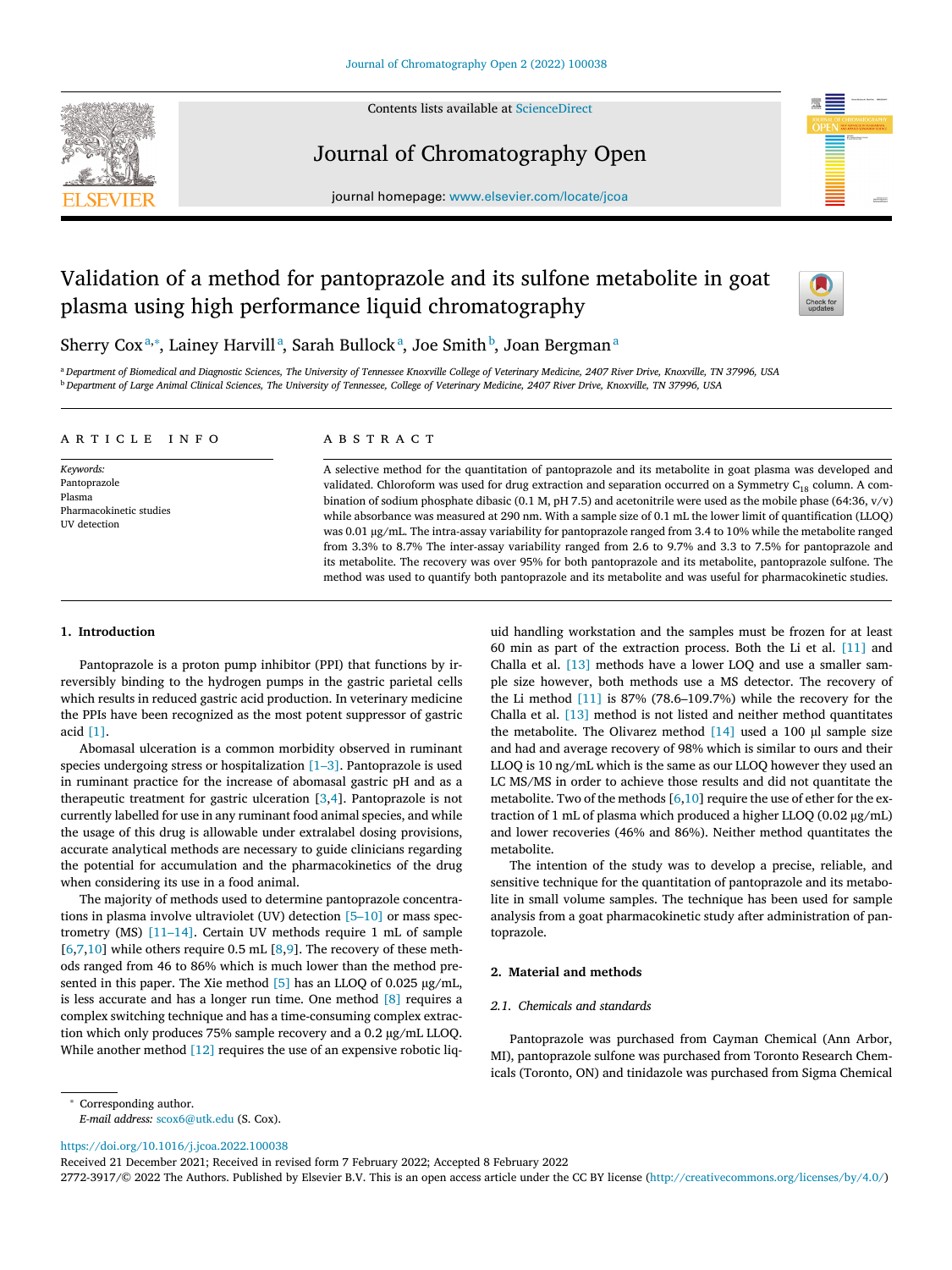

Contents lists available at [ScienceDirect](http://www.ScienceDirect.com)

# Journal of Chromatography Open



# Validation of a method for pantoprazole and its sulfone metabolite in goat plasma using high performance liquid chromatography



# Sherry Coxª,\*, Lainey Harvillª, Sarah Bullockª, Joe Smith<sup>b</sup>, Joan Bergmanª

a Department of Biomedical and Diagnostic Sciences, The University of Tennessee Knoxville College of Veterinary Medicine, 2407 River Drive, Knoxville, TN 37996, USA <sup>b</sup> Department of Large Animal Clinical Sciences, The University of Tennessee, College of Veterinary Medicine, 2407 River Drive, Knoxville, TN 37996, USA

# a r t i c l e i n f o

*Keywords:* Pantoprazole Plasma Pharmacokinetic studies UV detection

# A B S T R A C T

A selective method for the quantitation of pantoprazole and its metabolite in goat plasma was developed and validated. Chloroform was used for drug extraction and separation occurred on a Symmetry  $C_{18}$  column. A combination of sodium phosphate dibasic (0.1 M, pH 7.5) and acetonitrile were used as the mobile phase (64:36, v/v) while absorbance was measured at 290 nm. With a sample size of 0.1 mL the lower limit of quantification (LLOQ) was 0.01 μg/mL. The intra-assay variability for pantoprazole ranged from 3.4 to 10% while the metabolite ranged from 3.3% to 8.7% The inter-assay variability ranged from 2.6 to 9.7% and 3.3 to 7.5% for pantoprazole and its metabolite. The recovery was over 95% for both pantoprazole and its metabolite, pantoprazole sulfone. The method was used to quantify both pantoprazole and its metabolite and was useful for pharmacokinetic studies.

# **1. Introduction**

Pantoprazole is a proton pump inhibitor (PPI) that functions by irreversibly binding to the hydrogen pumps in the gastric parietal cells which results in reduced gastric acid production. In veterinary medicine the PPIs have been recognized as the most potent suppressor of gastric acid [\[1\].](#page-5-0)

Abomasal ulceration is a common morbidity observed in ruminant species undergoing stress or hospitalization [\[1–3\].](#page-5-0) Pantoprazole is used in ruminant practice for the increase of abomasal gastric pH and as a therapeutic treatment for gastric ulceration [\[3,4\]](#page-5-0). Pantoprazole is not currently labelled for use in any ruminant food animal species, and while the usage of this drug is allowable under extralabel dosing provisions, accurate analytical methods are necessary to guide clinicians regarding the potential for accumulation and the pharmacokinetics of the drug when considering its use in a food animal.

The majority of methods used to determine pantoprazole concentrations in plasma involve ultraviolet (UV) detection [\[5–10\]](#page-5-0) or mass spectrometry (MS) [\[11–14\].](#page-5-0) Certain UV methods require 1 mL of sample  $[6,7,10]$  while others require 0.5 mL  $[8,9]$ . The recovery of these methods ranged from 46 to 86% which is much lower than the method presented in this paper. The Xie method [\[5\]](#page-5-0) has an LLOQ of 0.025 μg/mL, is less accurate and has a longer run time. One method [\[8\]](#page-5-0) requires a complex switching technique and has a time-consuming complex extraction which only produces 75% sample recovery and a 0.2 μg/mL LLOQ. While another method  $[12]$  requires the use of an expensive robotic liq-

uid handling workstation and the samples must be frozen for at least 60 min as part of the extraction process. Both the Li et al. [\[11\]](#page-5-0) and Challa et al. [\[13\]](#page-5-0) methods have a lower LOQ and use a smaller sample size however, both methods use a MS detector. The recovery of the Li method  $[11]$  is 87% (78.6–109.7%) while the recovery for the Challa et al. [\[13\]](#page-5-0) method is not listed and neither method quantitates the metabolite. The Olivarez method [\[14\]](#page-5-0) used a 100 μl sample size and had and average recovery of 98% which is similar to ours and their LLOQ is 10 ng/mL which is the same as our LLOQ however they used an LC MS/MS in order to achieve those results and did not quantitate the metabolite. Two of the methods  $[6,10]$  require the use of ether for the extraction of 1 mL of plasma which produced a higher LLOQ (0.02 μg/mL) and lower recoveries (46% and 86%). Neither method quantitates the metabolite.

The intention of the study was to develop a precise, reliable, and sensitive technique for the quantitation of pantoprazole and its metabolite in small volume samples. The technique has been used for sample analysis from a goat pharmacokinetic study after administration of pantoprazole.

## **2. Material and methods**

# *2.1. Chemicals and standards*

Pantoprazole was purchased from Cayman Chemical (Ann Arbor, MI), pantoprazole sulfone was purchased from Toronto Research Chemicals (Toronto, ON) and tinidazole was purchased from Sigma Chemical

<sup>∗</sup> Corresponding author.

*E-mail address:* [scox6@utk.edu](mailto:scox6@utk.edu) (S. Cox).

<https://doi.org/10.1016/j.jcoa.2022.100038>

Received 21 December 2021; Received in revised form 7 February 2022; Accepted 8 February 2022

2772-3917/© 2022 The Authors. Published by Elsevier B.V. This is an open access article under the CC BY license [\(http://creativecommons.org/licenses/by/4.0/\)](http://creativecommons.org/licenses/by/4.0/)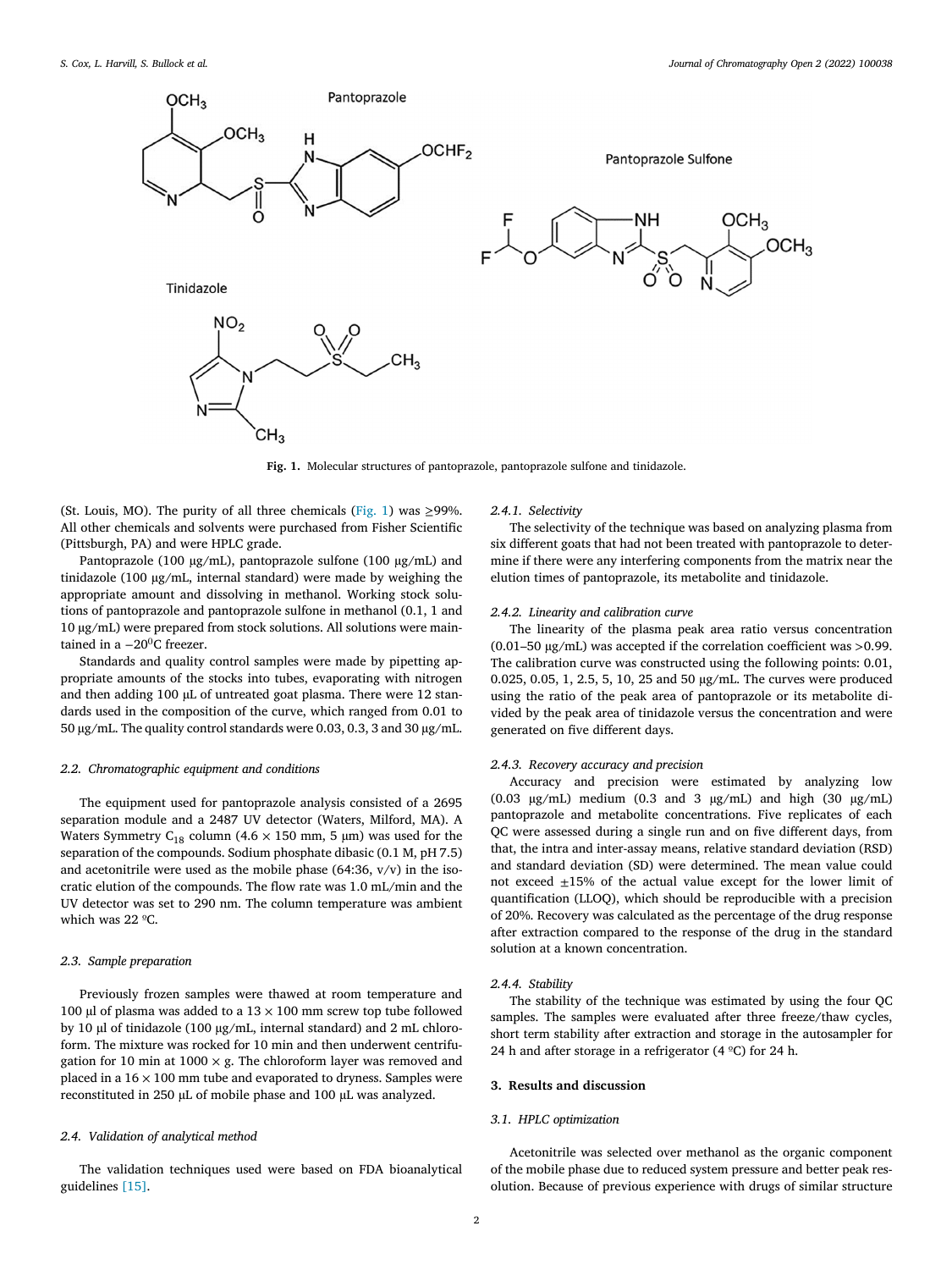

**Fig. 1.** Molecular structures of pantoprazole, pantoprazole sulfone and tinidazole.

(St. Louis, MO). The purity of all three chemicals (Fig. 1) was  $\geq$ 99%. All other chemicals and solvents were purchased from Fisher Scientific (Pittsburgh, PA) and were HPLC grade.

Pantoprazole (100 μg/mL), pantoprazole sulfone (100 μg/mL) and tinidazole (100 μg/mL, internal standard) were made by weighing the appropriate amount and dissolving in methanol. Working stock solutions of pantoprazole and pantoprazole sulfone in methanol (0.1, 1 and 10 μg/mL) were prepared from stock solutions. All solutions were maintained in a  $-20^0$ C freezer.

Standards and quality control samples were made by pipetting appropriate amounts of the stocks into tubes, evaporating with nitrogen and then adding 100 μL of untreated goat plasma. There were 12 standards used in the composition of the curve, which ranged from 0.01 to 50 μg/mL. The quality control standards were 0.03, 0.3, 3 and 30 μg/mL.

#### *2.2. Chromatographic equipment and conditions*

The equipment used for pantoprazole analysis consisted of a 2695 separation module and a 2487 UV detector (Waters, Milford, MA). A Waters Symmetry C<sub>18</sub> column (4.6  $\times$  150 mm, 5 µm) was used for the separation of the compounds. Sodium phosphate dibasic (0.1 M, pH 7.5) and acetonitrile were used as the mobile phase  $(64:36, v/v)$  in the isocratic elution of the compounds. The flow rate was 1.0 mL/min and the UV detector was set to 290 nm. The column temperature was ambient which was 22 ºC.

# *2.3. Sample preparation*

Previously frozen samples were thawed at room temperature and 100 μl of plasma was added to a  $13 \times 100$  mm screw top tube followed by 10 μl of tinidazole (100 μg/mL, internal standard) and 2 mL chloroform. The mixture was rocked for 10 min and then underwent centrifugation for 10 min at 1000  $\times$  g. The chloroform layer was removed and placed in a  $16 \times 100$  mm tube and evaporated to dryness. Samples were reconstituted in 250 μL of mobile phase and 100 μL was analyzed.

# *2.4. Validation of analytical method*

The validation techniques used were based on FDA bioanalytical guidelines [\[15\].](#page-5-0)

## *2.4.1. Selectivity*

The selectivity of the technique was based on analyzing plasma from six different goats that had not been treated with pantoprazole to determine if there were any interfering components from the matrix near the elution times of pantoprazole, its metabolite and tinidazole.

## *2.4.2. Linearity and calibration curve*

The linearity of the plasma peak area ratio versus concentration (0.01–50 μg/mL) was accepted if the correlation coefficient was *>*0.99. The calibration curve was constructed using the following points: 0.01, 0.025, 0.05, 1, 2.5, 5, 10, 25 and 50 μg/mL. The curves were produced using the ratio of the peak area of pantoprazole or its metabolite divided by the peak area of tinidazole versus the concentration and were generated on five different days.

# *2.4.3. Recovery accuracy and precision*

Accuracy and precision were estimated by analyzing low (0.03  $\mu$ g/mL) medium (0.3 and 3  $\mu$ g/mL) and high (30  $\mu$ g/mL) pantoprazole and metabolite concentrations. Five replicates of each QC were assessed during a single run and on five different days, from that, the intra and inter-assay means, relative standard deviation (RSD) and standard deviation (SD) were determined. The mean value could not exceed  $\pm 15$ % of the actual value except for the lower limit of quantification (LLOQ), which should be reproducible with a precision of 20%. Recovery was calculated as the percentage of the drug response after extraction compared to the response of the drug in the standard solution at a known concentration.

#### *2.4.4. Stability*

The stability of the technique was estimated by using the four QC samples. The samples were evaluated after three freeze/thaw cycles, short term stability after extraction and storage in the autosampler for 24 h and after storage in a refrigerator (4  $^{\circ}$ C) for 24 h.

#### **3. Results and discussion**

## *3.1. HPLC optimization*

Acetonitrile was selected over methanol as the organic component of the mobile phase due to reduced system pressure and better peak resolution. Because of previous experience with drugs of similar structure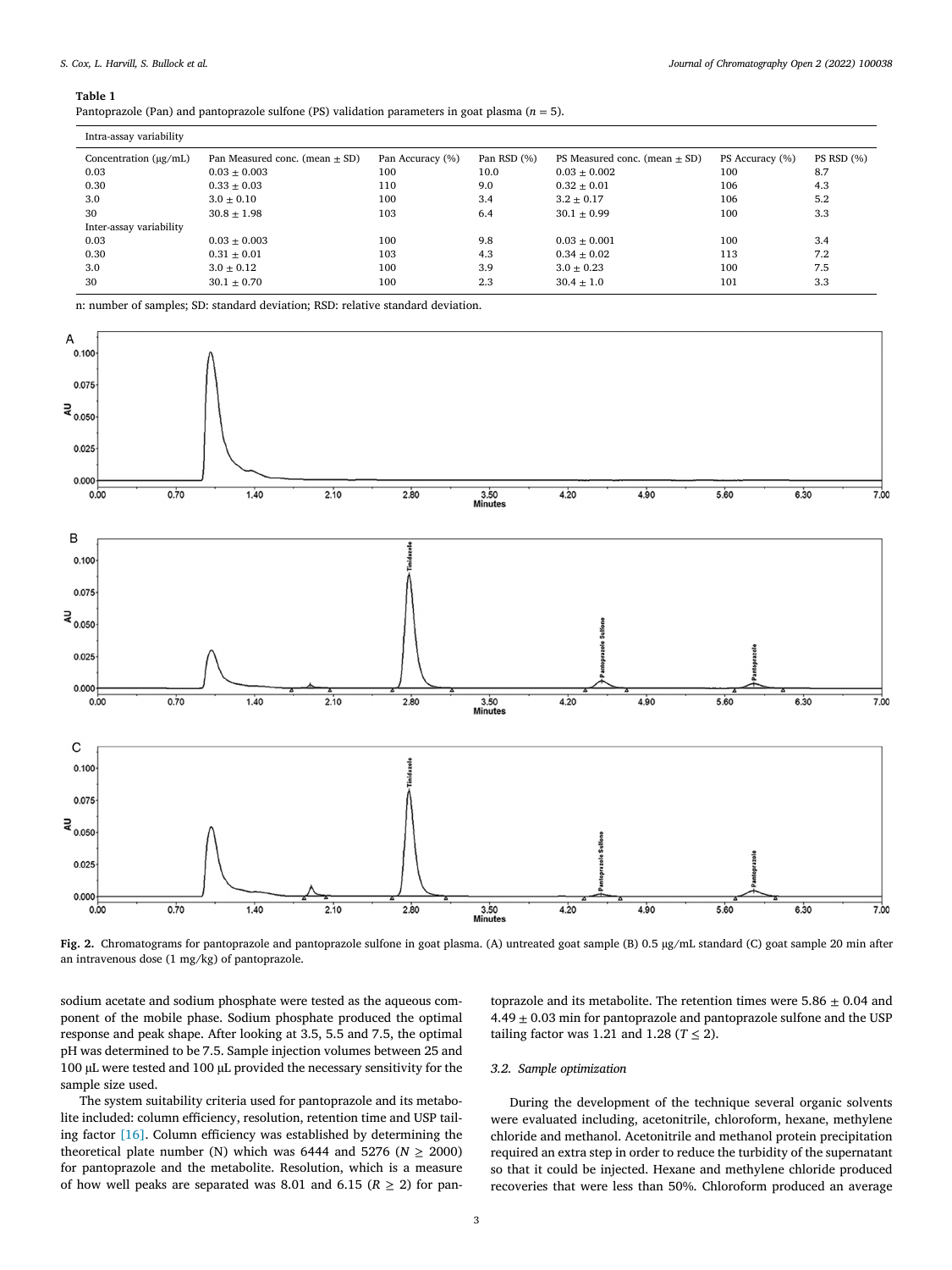#### <span id="page-3-0"></span>**Table 1**

Pantoprazole (Pan) and pantoprazole sulfone (PS) validation parameters in goat plasma (*n* = 5).

| Intra-assay variability    |                                    |                  |             |                                   |                 |                   |
|----------------------------|------------------------------------|------------------|-------------|-----------------------------------|-----------------|-------------------|
| Concentration $(\mu g/mL)$ | Pan Measured conc. (mean $\pm$ SD) | Pan Accuracy (%) | Pan RSD (%) | PS Measured conc. (mean $\pm$ SD) | PS Accuracy (%) | <b>PS RSD</b> (%) |
| 0.03                       | $0.03 \pm 0.003$                   | 100              | 10.0        | $0.03 \pm 0.002$                  | 100             | 8.7               |
| 0.30                       | $0.33 + 0.03$                      | 110              | 9.0         | $0.32 + 0.01$                     | 106             | 4.3               |
| 3.0                        | $3.0 \pm 0.10$                     | 100              | 3.4         | $3.2 \pm 0.17$                    | 106             | 5.2               |
| 30                         | $30.8 \pm 1.98$                    | 103              | 6.4         | $30.1 \pm 0.99$                   | 100             | 3.3               |
| Inter-assay variability    |                                    |                  |             |                                   |                 |                   |
| 0.03                       | $0.03 + 0.003$                     | 100              | 9.8         | $0.03 + 0.001$                    | 100             | 3.4               |
| 0.30                       | $0.31 \pm 0.01$                    | 103              | 4.3         | $0.34 \pm 0.02$                   | 113             | 7.2               |
| 3.0                        | $3.0 \pm 0.12$                     | 100              | 3.9         | $3.0 \pm 0.23$                    | 100             | 7.5               |
| 30                         | $30.1 \pm 0.70$                    | 100              | 2.3         | $30.4 \pm 1.0$                    | 101             | 3.3               |
|                            |                                    |                  |             |                                   |                 |                   |

n: number of samples; SD: standard deviation; RSD: relative standard deviation.



**Fig. 2.** Chromatograms for pantoprazole and pantoprazole sulfone in goat plasma. (A) untreated goat sample (B) 0.5 μg/mL standard (C) goat sample 20 min after an intravenous dose (1 mg/kg) of pantoprazole.

sodium acetate and sodium phosphate were tested as the aqueous component of the mobile phase. Sodium phosphate produced the optimal response and peak shape. After looking at 3.5, 5.5 and 7.5, the optimal pH was determined to be 7.5. Sample injection volumes between 25 and 100 μL were tested and 100 μL provided the necessary sensitivity for the sample size used.

The system suitability criteria used for pantoprazole and its metabolite included: column efficiency, resolution, retention time and USP tailing factor [\[16\].](#page-5-0) Column efficiency was established by determining the theoretical plate number (N) which was 6444 and 5276 ( $N \ge 2000$ ) for pantoprazole and the metabolite. Resolution, which is a measure of how well peaks are separated was 8.01 and 6.15 ( $R \ge 2$ ) for pantoprazole and its metabolite. The retention times were  $5.86 \pm 0.04$  and 4.49  $\pm$  0.03 min for pantoprazole and pantoprazole sulfone and the USP tailing factor was 1.21 and 1.28 ( $T \le 2$ ).

# *3.2. Sample optimization*

During the development of the technique several organic solvents were evaluated including, acetonitrile, chloroform, hexane, methylene chloride and methanol. Acetonitrile and methanol protein precipitation required an extra step in order to reduce the turbidity of the supernatant so that it could be injected. Hexane and methylene chloride produced recoveries that were less than 50%. Chloroform produced an average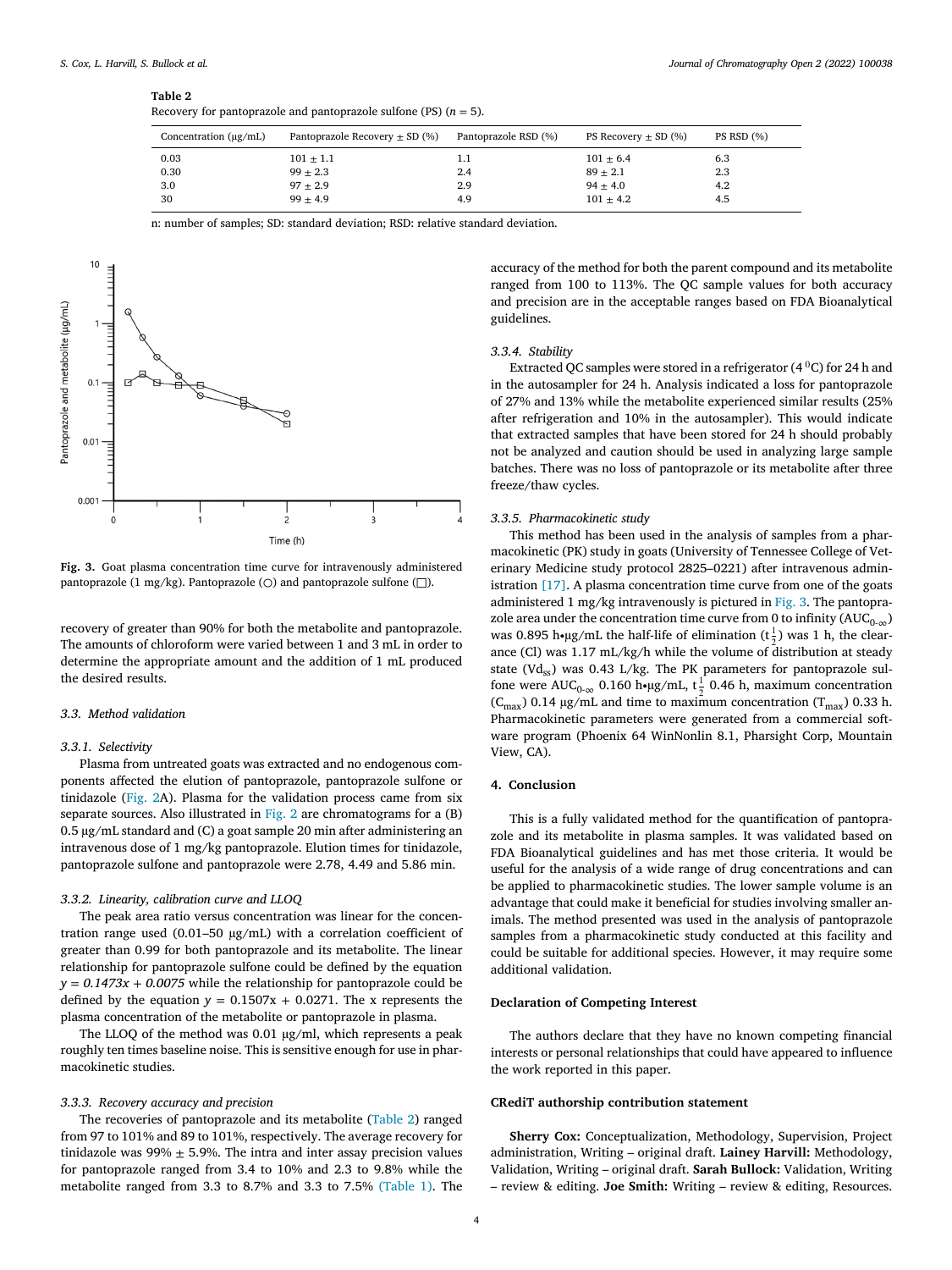#### **Table 2**

| Concentration $(\mu g/mL)$ | Pantoprazole Recovery $\pm$ SD (%) | Pantoprazole RSD (%) | PS Recovery $\pm$ SD (%) | PS RSD (%) |
|----------------------------|------------------------------------|----------------------|--------------------------|------------|
| 0.03                       | $101 \pm 1.1$                      | 1.1                  | $101 \pm 6.4$            | 6.3        |
| 0.30                       | $99 + 2.3$                         | 2.4                  | $89 \pm 2.1$             | 2.3        |
| 3.0                        | $97 + 2.9$                         | 2.9                  | $94 + 4.0$               | 4.2        |
| 30                         | $99 + 4.9$                         | 4.9                  | $101 \pm 4.2$            | 4.5        |

n: number of samples; SD: standard deviation; RSD: relative standard deviation.



**Fig. 3.** Goat plasma concentration time curve for intravenously administered pantoprazole (1 mg/kg). Pantoprazole ( $\bigcirc$ ) and pantoprazole sulfone ( $\Box$ ).

recovery of greater than 90% for both the metabolite and pantoprazole. The amounts of chloroform were varied between 1 and 3 mL in order to determine the appropriate amount and the addition of 1 mL produced the desired results.

#### *3.3. Method validation*

#### *3.3.1. Selectivity*

Plasma from untreated goats was extracted and no endogenous components affected the elution of pantoprazole, pantoprazole sulfone or tinidazole [\(Fig.](#page-3-0) 2A). Plasma for the validation process came from six separate sources. Also illustrated in [Fig.](#page-3-0) 2 are chromatograms for a (B) 0.5 μg/mL standard and (C) a goat sample 20 min after administering an intravenous dose of 1 mg/kg pantoprazole. Elution times for tinidazole, pantoprazole sulfone and pantoprazole were 2.78, 4.49 and 5.86 min.

#### *3.3.2. Linearity, calibration curve and LLOQ*

The peak area ratio versus concentration was linear for the concentration range used (0.01–50 μg/mL) with a correlation coefficient of greater than 0.99 for both pantoprazole and its metabolite. The linear relationship for pantoprazole sulfone could be defined by the equation  $y = 0.1473x + 0.0075$  while the relationship for pantoprazole could be defined by the equation  $y = 0.1507x + 0.0271$ . The x represents the plasma concentration of the metabolite or pantoprazole in plasma.

The LLOQ of the method was 0.01 μg/ml, which represents a peak roughly ten times baseline noise. This is sensitive enough for use in pharmacokinetic studies.

#### *3.3.3. Recovery accuracy and precision*

The recoveries of pantoprazole and its metabolite (Table 2) ranged from 97 to 101% and 89 to 101%, respectively. The average recovery for tinidazole was 99%  $\pm$  5.9%. The intra and inter assay precision values for pantoprazole ranged from 3.4 to 10% and 2.3 to 9.8% while the metabolite ranged from 3.3 to 8.7% and 3.3 to 7.5% [\(Table](#page-3-0) 1). The accuracy of the method for both the parent compound and its metabolite ranged from 100 to 113%. The QC sample values for both accuracy and precision are in the acceptable ranges based on FDA Bioanalytical guidelines.

### *3.3.4. Stability*

Extracted QC samples were stored in a refrigerator  $(4^0C)$  for 24 h and in the autosampler for 24 h. Analysis indicated a loss for pantoprazole of 27% and 13% while the metabolite experienced similar results (25% after refrigeration and 10% in the autosampler). This would indicate that extracted samples that have been stored for 24 h should probably not be analyzed and caution should be used in analyzing large sample batches. There was no loss of pantoprazole or its metabolite after three freeze/thaw cycles.

#### *3.3.5. Pharmacokinetic study*

This method has been used in the analysis of samples from a pharmacokinetic (PK) study in goats (University of Tennessee College of Veterinary Medicine study protocol 2825–0221) after intravenous administration [\[17\].](#page-5-0) A plasma concentration time curve from one of the goats administered 1 mg/kg intravenously is pictured in Fig. 3. The pantoprazole area under the concentration time curve from 0 to infinity  $(AUC_{0-\infty})$ was 0.895 h∙µg/mL the half-life of elimination ( $t = \frac{1}{2}$ ) was 1 h, the clearance (Cl) was 1.17 mL/kg/h while the volume of distribution at steady state (Vd<sub>ss</sub>) was 0.43 L/kg. The PK parameters for pantoprazole sulfone were AUC<sub>0-∞</sub> 0.160 h∙μg/mL, t<sup>1</sup>/<sub>2</sub> 0.46 h, maximum concentration  $(C<sub>max</sub>)$  0.14 μg/mL and time to maximum concentration (T<sub>max</sub>) 0.33 h. Pharmacokinetic parameters were generated from a commercial software program (Phoenix 64 WinNonlin 8.1, Pharsight Corp, Mountain View, CA).

#### **4. Conclusion**

This is a fully validated method for the quantification of pantoprazole and its metabolite in plasma samples. It was validated based on FDA Bioanalytical guidelines and has met those criteria. It would be useful for the analysis of a wide range of drug concentrations and can be applied to pharmacokinetic studies. The lower sample volume is an advantage that could make it beneficial for studies involving smaller animals. The method presented was used in the analysis of pantoprazole samples from a pharmacokinetic study conducted at this facility and could be suitable for additional species. However, it may require some additional validation.

#### **Declaration of Competing Interest**

The authors declare that they have no known competing financial interests or personal relationships that could have appeared to influence the work reported in this paper.

#### **CRediT authorship contribution statement**

**Sherry Cox:** Conceptualization, Methodology, Supervision, Project administration, Writing – original draft. **Lainey Harvill:** Methodology, Validation, Writing – original draft. **Sarah Bullock:** Validation, Writing – review & editing. **Joe Smith:** Writing – review & editing, Resources.